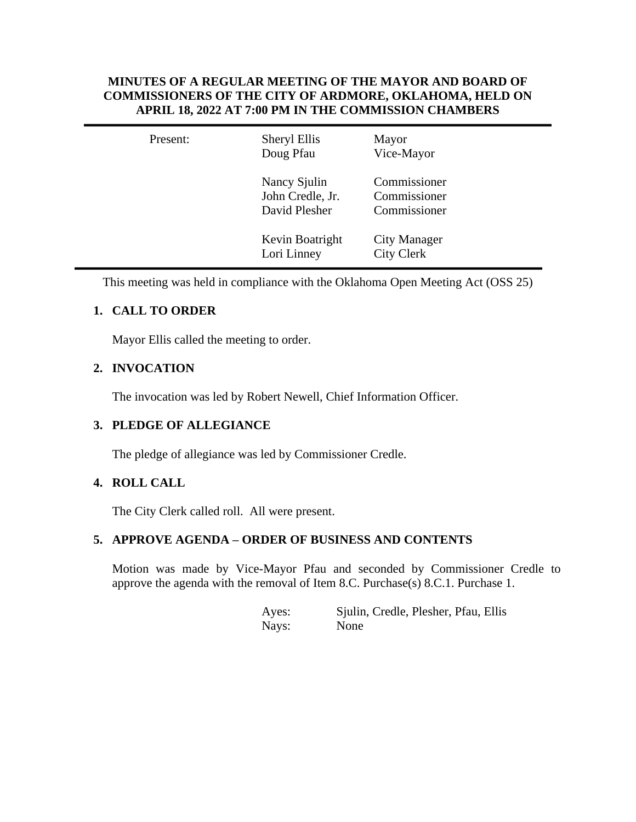## **MINUTES OF A REGULAR MEETING OF THE MAYOR AND BOARD OF COMMISSIONERS OF THE CITY OF ARDMORE, OKLAHOMA, HELD ON APRIL 18, 2022 AT 7:00 PM IN THE COMMISSION CHAMBERS**

| Present: | Sheryl Ellis<br>Doug Pfau                         | Mayor<br>Vice-Mayor                          |
|----------|---------------------------------------------------|----------------------------------------------|
|          | Nancy Sjulin<br>John Credle, Jr.<br>David Plesher | Commissioner<br>Commissioner<br>Commissioner |
|          | Kevin Boatright<br>Lori Linney                    | <b>City Manager</b><br><b>City Clerk</b>     |

This meeting was held in compliance with the Oklahoma Open Meeting Act (OSS 25)

# **1. CALL TO ORDER**

Mayor Ellis called the meeting to order.

# **2. INVOCATION**

The invocation was led by Robert Newell, Chief Information Officer.

## **3. PLEDGE OF ALLEGIANCE**

The pledge of allegiance was led by Commissioner Credle.

## **4. ROLL CALL**

The City Clerk called roll. All were present.

## **5. APPROVE AGENDA – ORDER OF BUSINESS AND CONTENTS**

Motion was made by Vice-Mayor Pfau and seconded by Commissioner Credle to approve the agenda with the removal of Item 8.C. Purchase(s) 8.C.1. Purchase 1.

> Ayes: Sjulin, Credle, Plesher, Pfau, Ellis Nays: None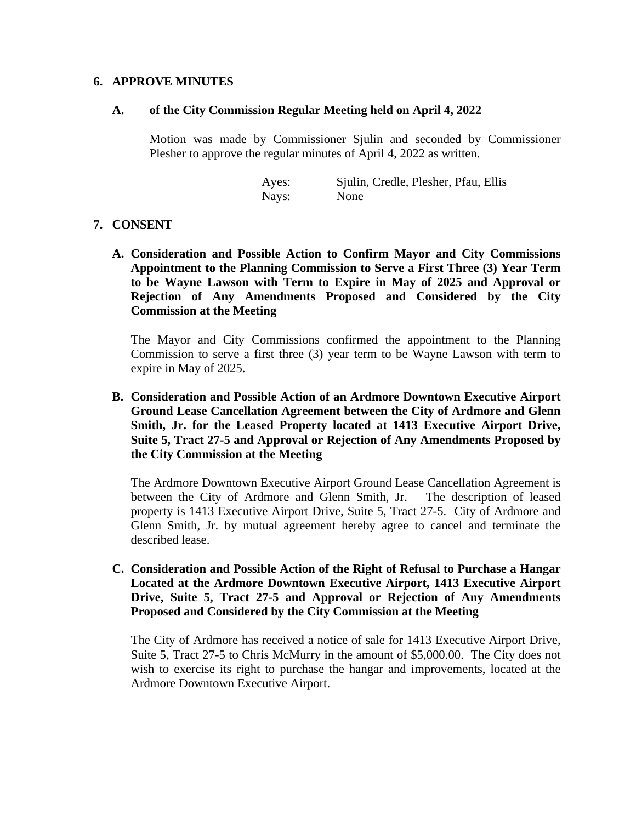#### **6. APPROVE MINUTES**

#### **A. of the City Commission Regular Meeting held on April 4, 2022**

Motion was made by Commissioner Sjulin and seconded by Commissioner Plesher to approve the regular minutes of April 4, 2022 as written.

> Ayes: Sjulin, Credle, Plesher, Pfau, Ellis Nays: None

### **7. CONSENT**

**A. Consideration and Possible Action to Confirm Mayor and City Commissions Appointment to the Planning Commission to Serve a First Three (3) Year Term to be Wayne Lawson with Term to Expire in May of 2025 and Approval or Rejection of Any Amendments Proposed and Considered by the City Commission at the Meeting**

The Mayor and City Commissions confirmed the appointment to the Planning Commission to serve a first three (3) year term to be Wayne Lawson with term to expire in May of 2025.

**B. Consideration and Possible Action of an Ardmore Downtown Executive Airport Ground Lease Cancellation Agreement between the City of Ardmore and Glenn Smith, Jr. for the Leased Property located at 1413 Executive Airport Drive, Suite 5, Tract 27-5 and Approval or Rejection of Any Amendments Proposed by the City Commission at the Meeting**

The Ardmore Downtown Executive Airport Ground Lease Cancellation Agreement is between the City of Ardmore and Glenn Smith, Jr. The description of leased property is 1413 Executive Airport Drive, Suite 5, Tract 27-5. City of Ardmore and Glenn Smith, Jr. by mutual agreement hereby agree to cancel and terminate the described lease.

**C. Consideration and Possible Action of the Right of Refusal to Purchase a Hangar Located at the Ardmore Downtown Executive Airport, 1413 Executive Airport Drive, Suite 5, Tract 27-5 and Approval or Rejection of Any Amendments Proposed and Considered by the City Commission at the Meeting**

The City of Ardmore has received a notice of sale for 1413 Executive Airport Drive, Suite 5, Tract 27-5 to Chris McMurry in the amount of \$5,000.00. The City does not wish to exercise its right to purchase the hangar and improvements, located at the Ardmore Downtown Executive Airport.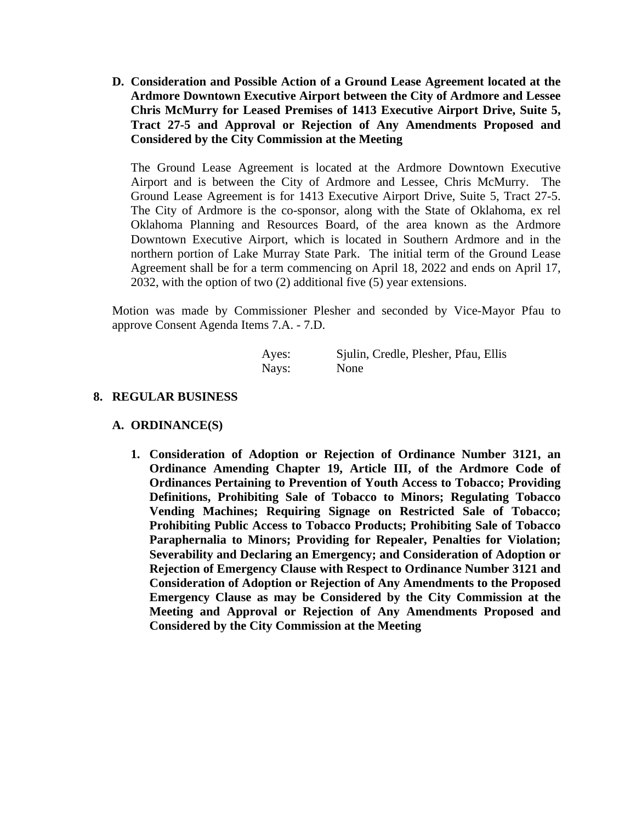**D. Consideration and Possible Action of a Ground Lease Agreement located at the Ardmore Downtown Executive Airport between the City of Ardmore and Lessee Chris McMurry for Leased Premises of 1413 Executive Airport Drive, Suite 5, Tract 27-5 and Approval or Rejection of Any Amendments Proposed and Considered by the City Commission at the Meeting**

The Ground Lease Agreement is located at the Ardmore Downtown Executive Airport and is between the City of Ardmore and Lessee, Chris McMurry. The Ground Lease Agreement is for 1413 Executive Airport Drive, Suite 5, Tract 27-5. The City of Ardmore is the co-sponsor, along with the State of Oklahoma, ex rel Oklahoma Planning and Resources Board, of the area known as the Ardmore Downtown Executive Airport, which is located in Southern Ardmore and in the northern portion of Lake Murray State Park. The initial term of the Ground Lease Agreement shall be for a term commencing on April 18, 2022 and ends on April 17, 2032, with the option of two (2) additional five (5) year extensions.

Motion was made by Commissioner Plesher and seconded by Vice-Mayor Pfau to approve Consent Agenda Items 7.A. - 7.D.

| Ayes: | Sjulin, Credle, Plesher, Pfau, Ellis |
|-------|--------------------------------------|
| Nays: | None                                 |

## **8. REGULAR BUSINESS**

#### **A. ORDINANCE(S)**

**1. Consideration of Adoption or Rejection of Ordinance Number 3121, an Ordinance Amending Chapter 19, Article III, of the Ardmore Code of Ordinances Pertaining to Prevention of Youth Access to Tobacco; Providing Definitions, Prohibiting Sale of Tobacco to Minors; Regulating Tobacco Vending Machines; Requiring Signage on Restricted Sale of Tobacco; Prohibiting Public Access to Tobacco Products; Prohibiting Sale of Tobacco Paraphernalia to Minors; Providing for Repealer, Penalties for Violation; Severability and Declaring an Emergency; and Consideration of Adoption or Rejection of Emergency Clause with Respect to Ordinance Number 3121 and Consideration of Adoption or Rejection of Any Amendments to the Proposed Emergency Clause as may be Considered by the City Commission at the Meeting and Approval or Rejection of Any Amendments Proposed and Considered by the City Commission at the Meeting**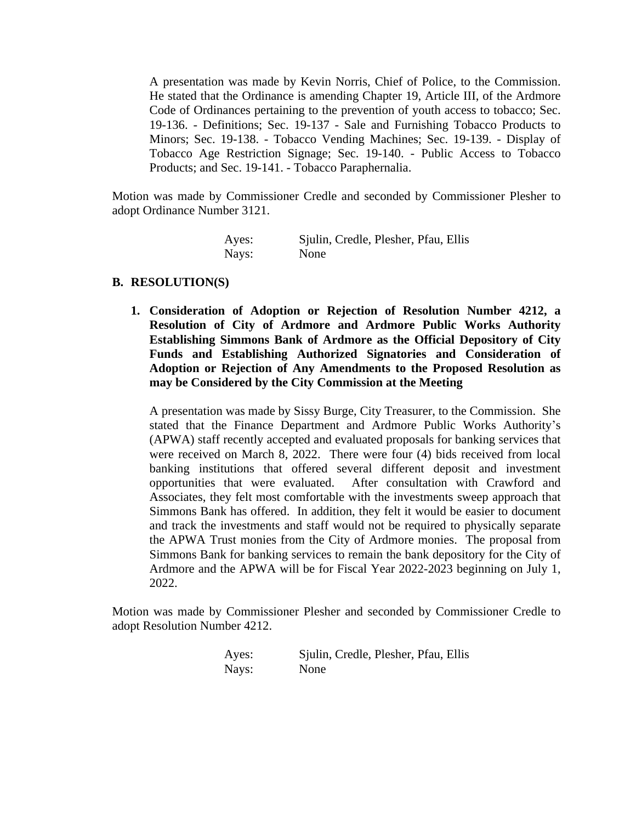A presentation was made by Kevin Norris, Chief of Police, to the Commission. He stated that the Ordinance is amending Chapter 19, Article III, of the Ardmore Code of Ordinances pertaining to the prevention of youth access to tobacco; Sec. 19-136. - Definitions; Sec. 19-137 - Sale and Furnishing Tobacco Products to Minors; Sec. 19-138. - Tobacco Vending Machines; Sec. 19-139. - Display of Tobacco Age Restriction Signage; Sec. 19-140. - Public Access to Tobacco Products; and Sec. 19-141. - Tobacco Paraphernalia.

Motion was made by Commissioner Credle and seconded by Commissioner Plesher to adopt Ordinance Number 3121.

| Ayes: | Sjulin, Credle, Plesher, Pfau, Ellis |
|-------|--------------------------------------|
| Nays: | None                                 |

### **B. RESOLUTION(S)**

**1. Consideration of Adoption or Rejection of Resolution Number 4212, a Resolution of City of Ardmore and Ardmore Public Works Authority Establishing Simmons Bank of Ardmore as the Official Depository of City Funds and Establishing Authorized Signatories and Consideration of Adoption or Rejection of Any Amendments to the Proposed Resolution as may be Considered by the City Commission at the Meeting**

A presentation was made by Sissy Burge, City Treasurer, to the Commission. She stated that the Finance Department and Ardmore Public Works Authority's (APWA) staff recently accepted and evaluated proposals for banking services that were received on March 8, 2022. There were four (4) bids received from local banking institutions that offered several different deposit and investment opportunities that were evaluated. After consultation with Crawford and Associates, they felt most comfortable with the investments sweep approach that Simmons Bank has offered. In addition, they felt it would be easier to document and track the investments and staff would not be required to physically separate the APWA Trust monies from the City of Ardmore monies. The proposal from Simmons Bank for banking services to remain the bank depository for the City of Ardmore and the APWA will be for Fiscal Year 2022-2023 beginning on July 1, 2022.

Motion was made by Commissioner Plesher and seconded by Commissioner Credle to adopt Resolution Number 4212.

| Ayes: | Sjulin, Credle, Plesher, Pfau, Ellis |
|-------|--------------------------------------|
| Nays: | None                                 |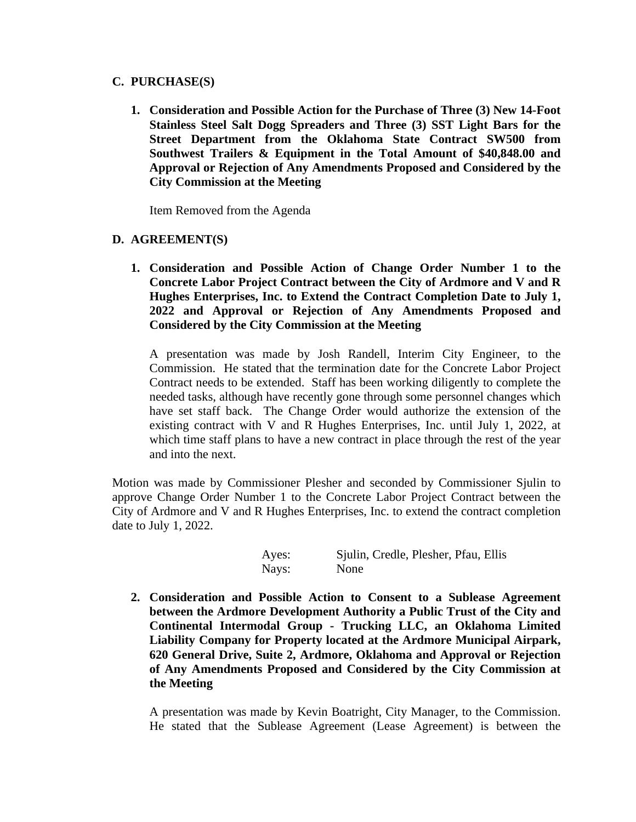## **C. PURCHASE(S)**

**1. Consideration and Possible Action for the Purchase of Three (3) New 14-Foot Stainless Steel Salt Dogg Spreaders and Three (3) SST Light Bars for the Street Department from the Oklahoma State Contract SW500 from Southwest Trailers & Equipment in the Total Amount of \$40,848.00 and Approval or Rejection of Any Amendments Proposed and Considered by the City Commission at the Meeting**

Item Removed from the Agenda

## **D. AGREEMENT(S)**

**1. Consideration and Possible Action of Change Order Number 1 to the Concrete Labor Project Contract between the City of Ardmore and V and R Hughes Enterprises, Inc. to Extend the Contract Completion Date to July 1, 2022 and Approval or Rejection of Any Amendments Proposed and Considered by the City Commission at the Meeting**

A presentation was made by Josh Randell, Interim City Engineer, to the Commission. He stated that the termination date for the Concrete Labor Project Contract needs to be extended. Staff has been working diligently to complete the needed tasks, although have recently gone through some personnel changes which have set staff back. The Change Order would authorize the extension of the existing contract with V and R Hughes Enterprises, Inc. until July 1, 2022, at which time staff plans to have a new contract in place through the rest of the year and into the next.

Motion was made by Commissioner Plesher and seconded by Commissioner Sjulin to approve Change Order Number 1 to the Concrete Labor Project Contract between the City of Ardmore and V and R Hughes Enterprises, Inc. to extend the contract completion date to July 1, 2022.

> Ayes: Sjulin, Credle, Plesher, Pfau, Ellis Nays: None

**2. Consideration and Possible Action to Consent to a Sublease Agreement between the Ardmore Development Authority a Public Trust of the City and Continental Intermodal Group - Trucking LLC, an Oklahoma Limited Liability Company for Property located at the Ardmore Municipal Airpark, 620 General Drive, Suite 2, Ardmore, Oklahoma and Approval or Rejection of Any Amendments Proposed and Considered by the City Commission at the Meeting**

A presentation was made by Kevin Boatright, City Manager, to the Commission. He stated that the Sublease Agreement (Lease Agreement) is between the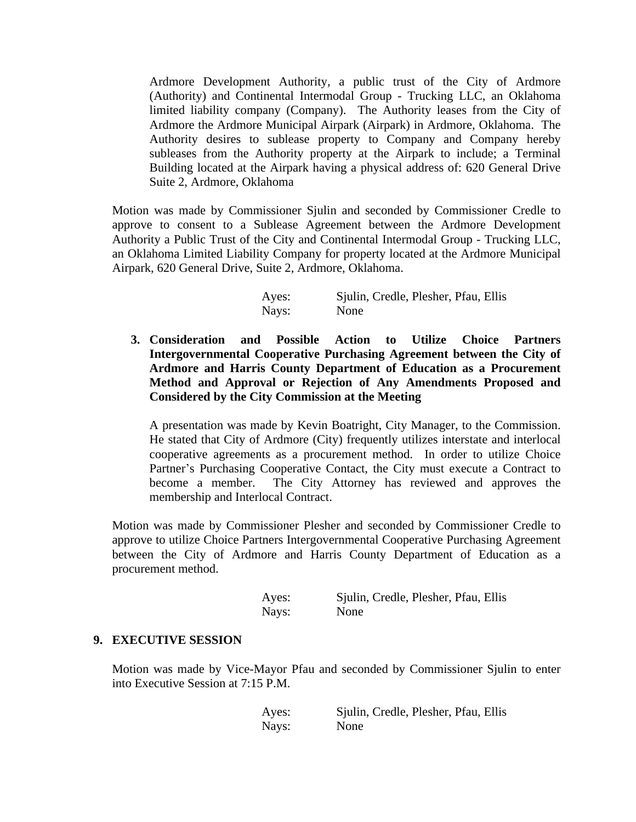Ardmore Development Authority, a public trust of the City of Ardmore (Authority) and Continental Intermodal Group - Trucking LLC, an Oklahoma limited liability company (Company). The Authority leases from the City of Ardmore the Ardmore Municipal Airpark (Airpark) in Ardmore, Oklahoma. The Authority desires to sublease property to Company and Company hereby subleases from the Authority property at the Airpark to include; a Terminal Building located at the Airpark having a physical address of: 620 General Drive Suite 2, Ardmore, Oklahoma

Motion was made by Commissioner Sjulin and seconded by Commissioner Credle to approve to consent to a Sublease Agreement between the Ardmore Development Authority a Public Trust of the City and Continental Intermodal Group - Trucking LLC, an Oklahoma Limited Liability Company for property located at the Ardmore Municipal Airpark, 620 General Drive, Suite 2, Ardmore, Oklahoma.

| Ayes: | Sjulin, Credle, Plesher, Pfau, Ellis |
|-------|--------------------------------------|
| Nays: | None                                 |

**3. Consideration and Possible Action to Utilize Choice Partners Intergovernmental Cooperative Purchasing Agreement between the City of Ardmore and Harris County Department of Education as a Procurement Method and Approval or Rejection of Any Amendments Proposed and Considered by the City Commission at the Meeting**

A presentation was made by Kevin Boatright, City Manager, to the Commission. He stated that City of Ardmore (City) frequently utilizes interstate and interlocal cooperative agreements as a procurement method. In order to utilize Choice Partner's Purchasing Cooperative Contact, the City must execute a Contract to become a member. The City Attorney has reviewed and approves the membership and Interlocal Contract.

Motion was made by Commissioner Plesher and seconded by Commissioner Credle to approve to utilize Choice Partners Intergovernmental Cooperative Purchasing Agreement between the City of Ardmore and Harris County Department of Education as a procurement method.

| Ayes: | Sjulin, Credle, Plesher, Pfau, Ellis |  |
|-------|--------------------------------------|--|
| Nays: | None                                 |  |

## **9. EXECUTIVE SESSION**

Motion was made by Vice-Mayor Pfau and seconded by Commissioner Sjulin to enter into Executive Session at 7:15 P.M.

> Ayes: Sjulin, Credle, Plesher, Pfau, Ellis Nays: None